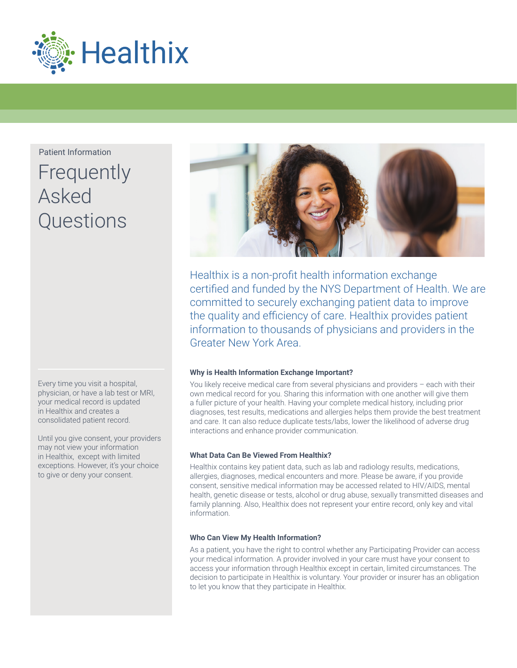

Patient Information

# **Frequently** Asked **Questions**

Every time you visit a hospital, physician, or have a lab test or MRI, your medical record is updated in Healthix and creates a consolidated patient record.

Until you give consent, your providers may not view your information in Healthix, except with limited exceptions. However, it's your choice to give or deny your consent.



Healthix is a non-profit health information exchange certified and funded by the NYS Department of Health. We are committed to securely exchanging patient data to improve the quality and efficiency of care. Healthix provides patient information to thousands of physicians and providers in the Greater New York Area.

# **Why is Health Information Exchange Important?**

You likely receive medical care from several physicians and providers – each with their own medical record for you. Sharing this information with one another will give them a fuller picture of your health. Having your complete medical history, including prior diagnoses, test results, medications and allergies helps them provide the best treatment and care. It can also reduce duplicate tests/labs, lower the likelihood of adverse drug interactions and enhance provider communication.

# **What Data Can Be Viewed From Healthix?**

Healthix contains key patient data, such as lab and radiology results, medications, allergies, diagnoses, medical encounters and more. Please be aware, if you provide consent, sensitive medical information may be accessed related to HIV/AIDS, mental health, genetic disease or tests, alcohol or drug abuse, sexually transmitted diseases and family planning. Also, Healthix does not represent your entire record, only key and vital information.

# **Who Can View My Health Information?**

As a patient, you have the right to control whether any Participating Provider can access your medical information. A provider involved in your care must have your consent to access your information through Healthix except in certain, limited circumstances. The decision to participate in Healthix is voluntary. Your provider or insurer has an obligation to let you know that they participate in Healthix.